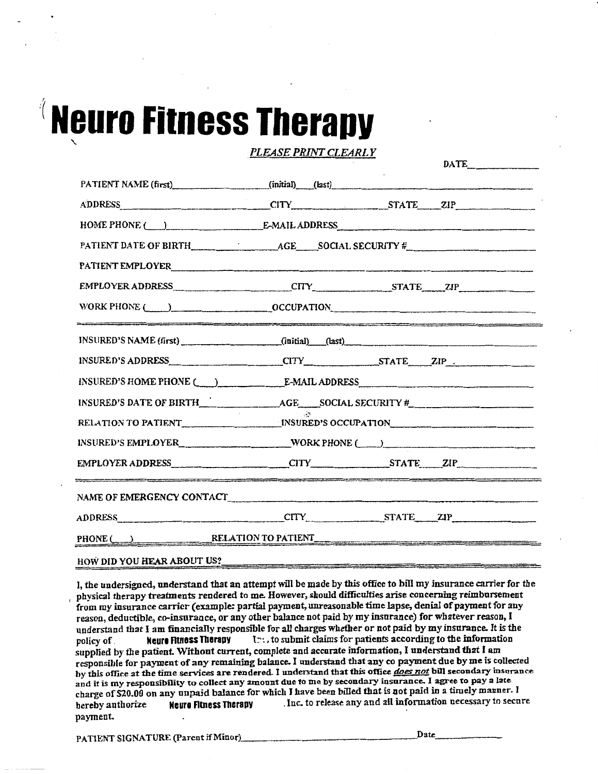# **Neuro Fitness Therapy**

| PLEASE PRINT CLEARLY                                                                                                                                                                                                           |                                                      |                                                                                                                                                                                                                                   |  |
|--------------------------------------------------------------------------------------------------------------------------------------------------------------------------------------------------------------------------------|------------------------------------------------------|-----------------------------------------------------------------------------------------------------------------------------------------------------------------------------------------------------------------------------------|--|
|                                                                                                                                                                                                                                |                                                      | $\text{DATE}$                                                                                                                                                                                                                     |  |
| PATIENT NAME (first) (initial) (last)                                                                                                                                                                                          |                                                      |                                                                                                                                                                                                                                   |  |
| ADDRESS CITY STATE ZIP                                                                                                                                                                                                         |                                                      |                                                                                                                                                                                                                                   |  |
| HOME PHONE (CONTROL) E-MAIL ADDRESS                                                                                                                                                                                            |                                                      |                                                                                                                                                                                                                                   |  |
|                                                                                                                                                                                                                                |                                                      |                                                                                                                                                                                                                                   |  |
| PATIENT EMPLOYER                                                                                                                                                                                                               |                                                      |                                                                                                                                                                                                                                   |  |
| EMPLOYER ADDRESS CITY STATE ZIP                                                                                                                                                                                                |                                                      |                                                                                                                                                                                                                                   |  |
| WORK PHONE (COLLECTION COCCUPATION                                                                                                                                                                                             |                                                      |                                                                                                                                                                                                                                   |  |
| INSURED'S NAME (first) (initial) (last)                                                                                                                                                                                        |                                                      | .<br>If we do not a complete the property of the complete the state of the state of the formal control of the state of the state of the state of the state of the state of the state of the state of the state of the state of th |  |
|                                                                                                                                                                                                                                |                                                      |                                                                                                                                                                                                                                   |  |
| INSURED'S HOME PHONE ( ) E-MAIL ADDRESS E-MAIL AND RESOLUTIONS                                                                                                                                                                 |                                                      |                                                                                                                                                                                                                                   |  |
| INSURED'S DATE OF BIRTH $\overline{AGE}$ AGE SOCIAL SECURITY #                                                                                                                                                                 |                                                      |                                                                                                                                                                                                                                   |  |
|                                                                                                                                                                                                                                | RELATION TO PATIENT THE MINIMUM INSURED'S OCCUPATION |                                                                                                                                                                                                                                   |  |
| INSURED'S EMPLOYER____________________________WORK PHONE (____)                                                                                                                                                                |                                                      |                                                                                                                                                                                                                                   |  |
| EMPLOYER ADDRESS CHARLEY CITY STATE ZIP                                                                                                                                                                                        |                                                      |                                                                                                                                                                                                                                   |  |
|                                                                                                                                                                                                                                |                                                      |                                                                                                                                                                                                                                   |  |
| ADDRESS CITY STATE ZIP                                                                                                                                                                                                         |                                                      |                                                                                                                                                                                                                                   |  |
| PHONE (CONTRACTION TO PATIENT PHONE CONTRACTED ASSESSMENT PHONE CONTRACTED ASSESSMENT PHONE CONTRACTED AND THE CONTRACTED ASSESSMENT PHONE CONTRACTED AND THE CONTRACTED ASSESSMENT PHONE CONTRACTED AND THE CONTRACTED ASSESS |                                                      |                                                                                                                                                                                                                                   |  |
| HOW DID YOU HEAR ABOUT US?                                                                                                                                                                                                     |                                                      |                                                                                                                                                                                                                                   |  |

I, the undersigned, understand that an attempt will be made by this office to bill my insurance carrier for the , physical therapy treatments rendered to me. However, should difficulties arise concerning reimbursement from my insurance carrier (example: partial payment, unreasonable time lapse, denial of payment for any reason, deductiole, co-insurance, or any other balance not paid by my insurance) for whatever reason, I understand that I am financially responsible for all charges whether or not paid by my insurance. It is the policy of **Neuro Fitness Therapy**  $\mathbb{C}$ ; to submit claims for patients according to the information policy of **Neure Fitness Therapy 17:** , to submit claims for patients according to the information supplied by the patient. Without current, complete and accurate information, I understand that I am responsible for payment of any remaining balance. I understand that any ro payment due by me is collected by this office at the time services are rendered. I understand that this office *does not* bill secondary insurance and it is my responsibility to collect any amount due to me by secondary insurance. l agree to pay a late charge of \$20.00 on any unpaid balance for which I have been billed that is not paid in a timely manner. I hereby authorize **Neura Flmess Therapy** . Inc. to release any and all infonnation necessary to secure payment.

PATIENT SIGNATURE (Parent if Minor), Date.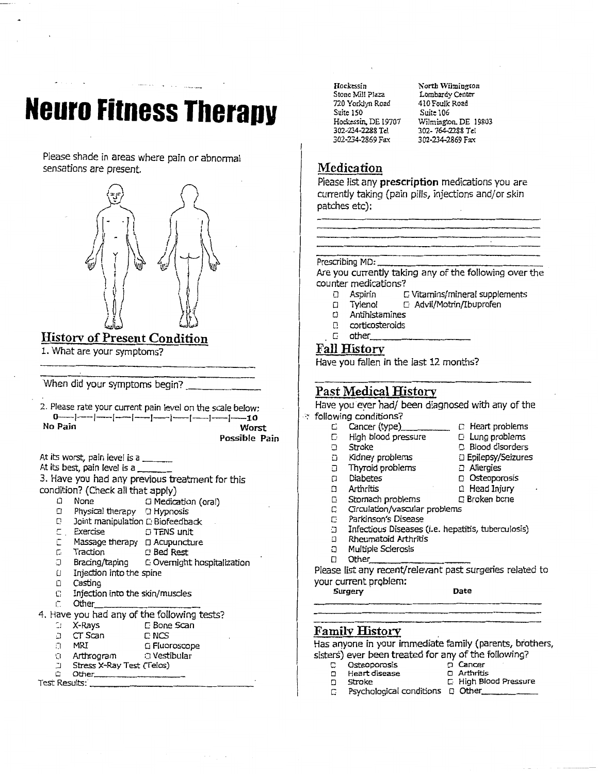## **Neuro Fitness Therapy**

Please shade in areas where pain or abnormal sensations are present.



#### لحتالتنا Historv of Present Condition

1. What are your symptoms?

When did your symptoms begin?

2. Please rate your current pain level on the scale below: o-J--1--1-1-J-1-J-J-I-10 No Pain **Pain** Worst

Possible Pain

At its worst, pain level is a  $\_$ <br>At its best, pain level is a  $\_$ 

3. Have you had any previous treatment for this condition? (Check all that apply)

- $\Box$  None  $\Box$  Medication (oral)<br> $\Box$  Physical therapy  $\Box$  Hypnosis
- Physical therapy 0 Hypnosis
- 
- $\Box$  Joint manipulation  $\Box$  Biofeedback<br> $\Box$  Exercise  $\Box$  TENS unit
- $\begin{array}{ll}\n\square & \text{Exercise} \\
\square & \text{Massace theory} \\
\square & \text{Acupquench}\n\end{array}$ Massage therapy  $\Box$  Acupuncture
- c Traction 0 Bed Rest
- .J Bracing/taping c Overnight hospitalization
- $U$  Injection into the spine
- 0 Casting
- $\Box$  Injection into the skin/muscles
- 
- 4. Have you had any of the following tests?<br> $\therefore$  X-Rays  $\qquad \qquad \Box$  Bone Scan
	-
	- o X-Rays c Bone Scan<br>a c T Scan c NCS
	- ::.1 CT Scan C NCS  $\Box$  Fiuoroscope
	- 0. Arthrogram : O Vestibular
	-
- :J Stress X-Ray Test (Telos) c O~er \_\_\_\_\_\_\_\_\_\_\_\_\_\_ \_ Test Results:·--------------

Hockessin Stone Mill Plaza 720 Yorklyn Ro2d Suite 150 Hockessin, DE 19707 302-234-228& Tel 302-234-2869 Fax

North Wilmington Lombardy Center 410 Foulk Road Suite 106 Wilmington. DE 19803 302-764-2288 Tel 302-234-2869 Fax

#### Medication

Please list any prescription medications you are currently taking (pain pills, injections and/or skin patches etc):

Prescribing MD:-------------- Are you currently taking any of the following over the counter medications?

- 
- **O** Aspirin C Vitamins/mineral supplements<br>
Q Tylenol G Advil/Motrin/Ibuprofen  $\Box$  Tylenol  $\Box$  Advil/Motrin/Ibuprofen
- **Antihistamines**
- 
- $0$  corticosteroids<br> $0$  other

#### Fall Historv

Have you fallen in the last 12 months?

#### Past Medical History

Have you eyer had/ been diagnosed with any of the · '~ following conditions?

- - $C$  Cancer (type)  $C$  Heart problems<br>  $C$  High blood pressure  $C$  Lung problems
	- High blood pressure<br>Stroke
	- CJ Stroke CJ Blood disorders
	- 0 Kidney problems 0 Epilepsy/Seizures<br>0 Thyroid problems 0 Allergies
- **1** Thyroid problems<br> **11** Diabetes
- 
- - Stomach problems
- C Circulation/vascular problems
- c: Parkinson's Disease
- 
- 
- 
- 
- 

Please list any recent/relevant past surgeries related to your current problem:

Surgery Date

#### Familv History .

Has anyone in your immediate family (parents, brothers, sisters) ever been treated for any of the following?<br> $\Gamma$  Osteoporosis

- 
- c Osteoporosis o Cancer o Heart disease<br>0 Stroke
- 
- $\Box$  High Blood Pressure
- $\Box$  Psychological conditions  $\Box$  Other
- 0 Diabetes o Osteoporosis 0 Arthritis o Head Injury
	-
	-
	-
- CJ Infectious Diseases (i.e. hepatitis, tuberculosis)
- **D** Rheumatoid Arthritis<br>D Multiple Sclerosis
- 0 Multiple Sclerosis 0 Other \_\_\_\_\_\_\_\_ \_